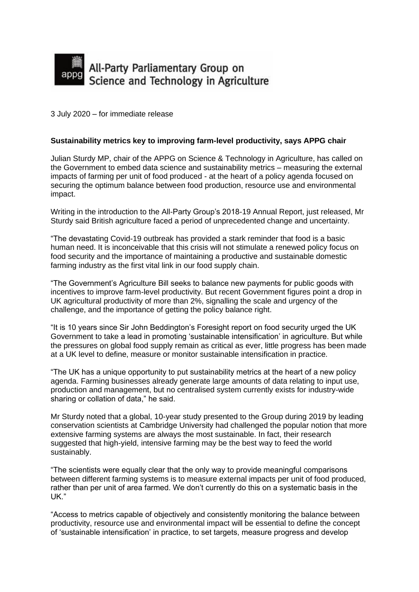

3 July 2020 – for immediate release

## **Sustainability metrics key to improving farm-level productivity, says APPG chair**

Julian Sturdy MP, chair of the APPG on Science & Technology in Agriculture, has called on the Government to embed data science and sustainability metrics – measuring the external impacts of farming per unit of food produced - at the heart of a policy agenda focused on securing the optimum balance between food production, resource use and environmental impact.

Writing in the introduction to the All-Party Group's 2018-19 Annual Report, just released, Mr Sturdy said British agriculture faced a period of unprecedented change and uncertainty.

"The devastating Covid-19 outbreak has provided a stark reminder that food is a basic human need. It is inconceivable that this crisis will not stimulate a renewed policy focus on food security and the importance of maintaining a productive and sustainable domestic farming industry as the first vital link in our food supply chain.

"The Government's Agriculture Bill seeks to balance new payments for public goods with incentives to improve farm-level productivity. But recent Government figures point a drop in UK agricultural productivity of more than 2%, signalling the scale and urgency of the challenge, and the importance of getting the policy balance right.

"It is 10 years since Sir John Beddington's Foresight report on food security urged the UK Government to take a lead in promoting 'sustainable intensification' in agriculture. But while the pressures on global food supply remain as critical as ever, little progress has been made at a UK level to define, measure or monitor sustainable intensification in practice.

"The UK has a unique opportunity to put sustainability metrics at the heart of a new policy agenda. Farming businesses already generate large amounts of data relating to input use, production and management, but no centralised system currently exists for industry-wide sharing or collation of data," he said.

Mr Sturdy noted that a global, 10-year study presented to the Group during 2019 by leading conservation scientists at Cambridge University had challenged the popular notion that more extensive farming systems are always the most sustainable. In fact, their research suggested that high-yield, intensive farming may be the best way to feed the world sustainably.

"The scientists were equally clear that the only way to provide meaningful comparisons between different farming systems is to measure external impacts per unit of food produced, rather than per unit of area farmed. We don't currently do this on a systematic basis in the UK."

"Access to metrics capable of objectively and consistently monitoring the balance between productivity, resource use and environmental impact will be essential to define the concept of 'sustainable intensification' in practice, to set targets, measure progress and develop